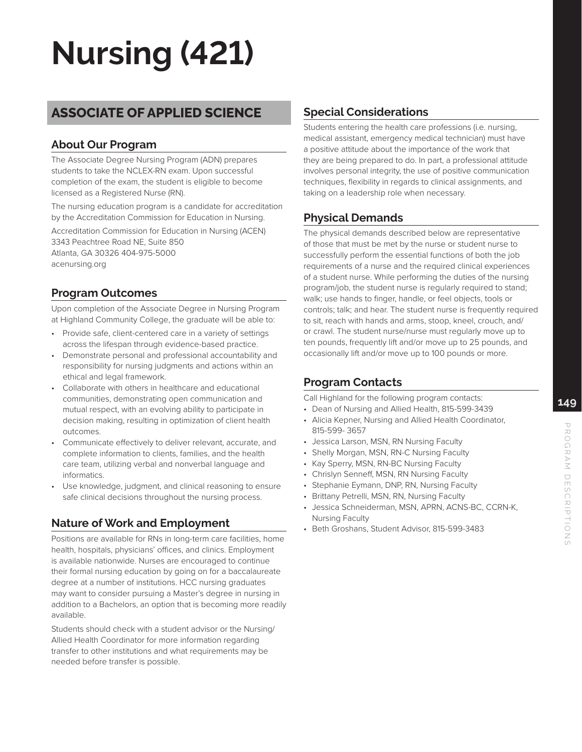# **Nursing (421)**

# **ASSOCIATE OF APPLIED SCIENCE**

### **About Our Program**

The Associate Degree Nursing Program (ADN) prepares students to take the NCLEX-RN exam. Upon successful completion of the exam, the student is eligible to become licensed as a Registered Nurse (RN).

The nursing education program is a candidate for accreditation by the Accreditation Commission for Education in Nursing.

Accreditation Commission for Education in Nursing (ACEN) 3343 Peachtree Road NE, Suite 850 Atlanta, GA 30326 404-975-5000 acenursing.org

### **Program Outcomes**

Upon completion of the Associate Degree in Nursing Program at Highland Community College, the graduate will be able to:

- Provide safe, client-centered care in a variety of settings across the lifespan through evidence-based practice.
- Demonstrate personal and professional accountability and responsibility for nursing judgments and actions within an ethical and legal framework.
- Collaborate with others in healthcare and educational communities, demonstrating open communication and mutual respect, with an evolving ability to participate in decision making, resulting in optimization of client health outcomes.
- Communicate effectively to deliver relevant, accurate, and complete information to clients, families, and the health care team, utilizing verbal and nonverbal language and informatics.
- Use knowledge, judgment, and clinical reasoning to ensure safe clinical decisions throughout the nursing process.

#### **Nature of Work and Employment**

Positions are available for RNs in long-term care facilities, home health, hospitals, physicians' offices, and clinics. Employment is available nationwide. Nurses are encouraged to continue their formal nursing education by going on for a baccalaureate degree at a number of institutions. HCC nursing graduates may want to consider pursuing a Master's degree in nursing in addition to a Bachelors, an option that is becoming more readily available.

Students should check with a student advisor or the Nursing/ Allied Health Coordinator for more information regarding transfer to other institutions and what requirements may be needed before transfer is possible.

#### **Special Considerations**

Students entering the health care professions (i.e. nursing, medical assistant, emergency medical technician) must have a positive attitude about the importance of the work that they are being prepared to do. In part, a professional attitude involves personal integrity, the use of positive communication techniques, flexibility in regards to clinical assignments, and taking on a leadership role when necessary.

### **Physical Demands**

The physical demands described below are representative of those that must be met by the nurse or student nurse to successfully perform the essential functions of both the job requirements of a nurse and the required clinical experiences of a student nurse. While performing the duties of the nursing program/job, the student nurse is regularly required to stand; walk; use hands to finger, handle, or feel objects, tools or controls; talk; and hear. The student nurse is frequently required to sit, reach with hands and arms, stoop, kneel, crouch, and/ or crawl. The student nurse/nurse must regularly move up to ten pounds, frequently lift and/or move up to 25 pounds, and occasionally lift and/or move up to 100 pounds or more.

### **Program Contacts**

Call Highland for the following program contacts:

- Dean of Nursing and Allied Health, 815-599-3439
- Alicia Kepner, Nursing and Allied Health Coordinator, 815-599- 3657
- Jessica Larson, MSN, RN Nursing Faculty
- Shelly Morgan, MSN, RN-C Nursing Faculty
- Kay Sperry, MSN, RN-BC Nursing Faculty
- Chrislyn Senneff, MSN, RN Nursing Faculty
- Stephanie Eymann, DNP, RN, Nursing Faculty
- Brittany Petrelli, MSN, RN, Nursing Faculty
- Jessica Schneiderman, MSN, APRN, ACNS-BC, CCRN-K, Nursing Faculty
- Beth Groshans, Student Advisor, 815-599-3483

**149**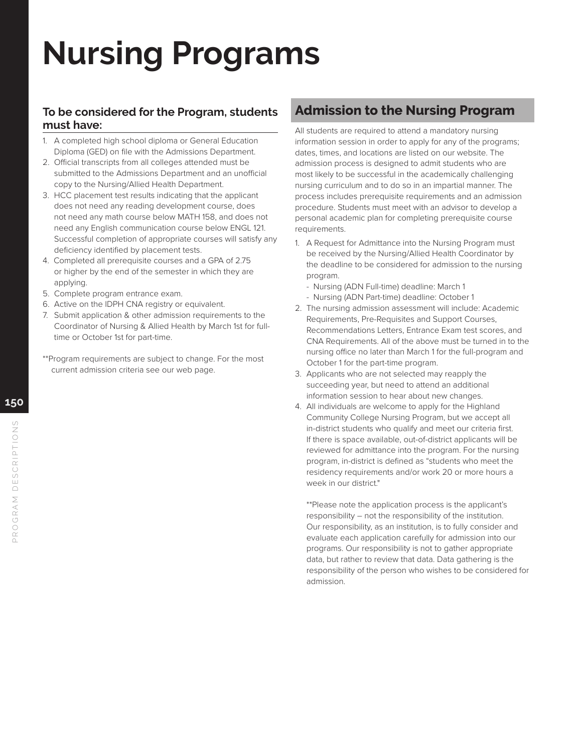# **Nursing Programs**

#### **To be considered for the Program, students must have:**

- 1. A completed high school diploma or General Education Diploma (GED) on file with the Admissions Department.
- 2. Official transcripts from all colleges attended must be submitted to the Admissions Department and an unofficial copy to the Nursing/Allied Health Department.
- 3. HCC placement test results indicating that the applicant does not need any reading development course, does not need any math course below MATH 158, and does not need any English communication course below ENGL 121. Successful completion of appropriate courses will satisfy any deficiency identified by placement tests.
- 4. Completed all prerequisite courses and a GPA of 2.75 or higher by the end of the semester in which they are applying.
- 5. Complete program entrance exam.
- 6. Active on the IDPH CNA registry or equivalent.
- 7. Submit application & other admission requirements to the Coordinator of Nursing & Allied Health by March 1st for fulltime or October 1st for part-time.
- \*\*Program requirements are subject to change. For the most current admission criteria see our web page.

### **Admission to the Nursing Program**

All students are required to attend a mandatory nursing information session in order to apply for any of the programs; dates, times, and locations are listed on our website. The admission process is designed to admit students who are most likely to be successful in the academically challenging nursing curriculum and to do so in an impartial manner. The process includes prerequisite requirements and an admission procedure. Students must meet with an advisor to develop a personal academic plan for completing prerequisite course requirements.

- 1. A Request for Admittance into the Nursing Program must be received by the Nursing/Allied Health Coordinator by the deadline to be considered for admission to the nursing program.
	- Nursing (ADN Full-time) deadline: March 1
	- Nursing (ADN Part-time) deadline: October 1
- 2. The nursing admission assessment will include: Academic Requirements, Pre-Requisites and Support Courses, Recommendations Letters, Entrance Exam test scores, and CNA Requirements. All of the above must be turned in to the nursing office no later than March 1 for the full-program and October 1 for the part-time program.
- 3. Applicants who are not selected may reapply the succeeding year, but need to attend an additional information session to hear about new changes.
- 4. All individuals are welcome to apply for the Highland Community College Nursing Program, but we accept all in-district students who qualify and meet our criteria first. If there is space available, out-of-district applicants will be reviewed for admittance into the program. For the nursing program, in-district is defined as "students who meet the residency requirements and/or work 20 or more hours a week in our district."

\*\*Please note the application process is the applicant's responsibility – not the responsibility of the institution. Our responsibility, as an institution, is to fully consider and evaluate each application carefully for admission into our programs. Our responsibility is not to gather appropriate data, but rather to review that data. Data gathering is the responsibility of the person who wishes to be considered for admission.

**150**